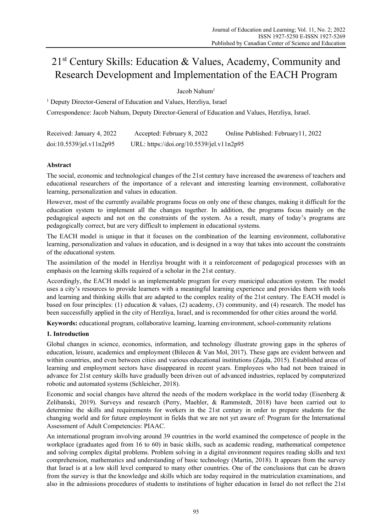# 21st Century Skills: Education & Values, Academy, Community and Research Development and Implementation of the EACH Program

Jacob Nahum1

<sup>1</sup> Deputy Director-General of Education and Values, Herzliya, Israel Correspondence: Jacob Nahum, Deputy Director-General of Education and Values, Herzliya, Israel.

| Received: January 4, 2022 | Accepted: February 8, 2022                | Online Published: February 11, 2022 |
|---------------------------|-------------------------------------------|-------------------------------------|
| doi:10.5539/iel.v11n2p95  | URL: https://doi.org/10.5539/jel.v11n2p95 |                                     |

# **Abstract**

The social, economic and technological changes of the 21st century have increased the awareness of teachers and educational researchers of the importance of a relevant and interesting learning environment, collaborative learning, personalization and values in education.

However, most of the currently available programs focus on only one of these changes, making it difficult for the education system to implement all the changes together. In addition, the programs focus mainly on the pedagogical aspects and not on the constraints of the system. As a result, many of today's programs are pedagogically correct, but are very difficult to implement in educational systems.

The EACH model is unique in that it focuses on the combination of the learning environment, collaborative learning, personalization and values in education, and is designed in a way that takes into account the constraints of the educational system.

The assimilation of the model in Herzliya brought with it a reinforcement of pedagogical processes with an emphasis on the learning skills required of a scholar in the 21st century.

Accordingly, the EACH model is an implementable program for every municipal education system. The model uses a city's resources to provide learners with a meaningful learning experience and provides them with tools and learning and thinking skills that are adapted to the complex reality of the 21st century. The EACH model is based on four principles: (1) education & values, (2) academy, (3) community, and (4) research. The model has been successfully applied in the city of Herzliya, Israel, and is recommended for other cities around the world.

**Keywords:** educational program, collaborative learning, learning environment, school-community relations

## **1. Introduction**

Global changes in science, economics, information, and technology illustrate growing gaps in the spheres of education, leisure, academics and employment (Bilecen & Van Mol, 2017). These gaps are evident between and within countries, and even between cities and various educational institutions (Zajda, 2015). Established areas of learning and employment sectors have disappeared in recent years. Employees who had not been trained in advance for 21st century skills have gradually been driven out of advanced industries, replaced by computerized robotic and automated systems (Schleicher, 2018).

Economic and social changes have altered the needs of the modern workplace in the world today (Eisenberg & Zelibanski, 2019). Surveys and research (Perry, Maehler, & Rammstedt, 2018) have been carried out to determine the skills and requirements for workers in the 21st century in order to prepare students for the changing world and for future employment in fields that we are not yet aware of: Program for the International Assessment of Adult Competencies: PIAAC.

An international program involving around 39 countries in the world examined the competence of people in the workplace (graduates aged from 16 to 60) in basic skills, such as academic reading, mathematical competence and solving complex digital problems. Problem solving in a digital environment requires reading skills and text comprehension, mathematics and understanding of basic technology (Martin, 2018). It appears from the survey that Israel is at a low skill level compared to many other countries. One of the conclusions that can be drawn from the survey is that the knowledge and skills which are today required in the matriculation examinations, and also in the admissions procedures of students to institutions of higher education in Israel do not reflect the 21st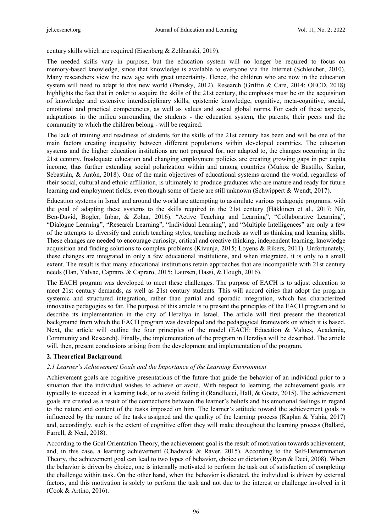century skills which are required (Eisenberg & Zelibanski, 2019).

The needed skills vary in purpose, but the education system will no longer be required to focus on memory-based knowledge, since that knowledge is available to everyone via the Internet (Schleicher, 2010). Many researchers view the new age with great uncertainty. Hence, the children who are now in the education system will need to adapt to this new world (Prensky, 2012). Research (Griffin & Care, 2014; OECD, 2018) highlights the fact that in order to acquire the skills of the 21st century, the emphasis must be on the acquisition of knowledge and extensive interdisciplinary skills; epistemic knowledge, cognitive, meta-cognitive, social, emotional and practical competencies, as well as values and social global norms. For each of these aspects, adaptations in the milieu surrounding the students - the education system, the parents, their peers and the community to which the children belong - will be required.

The lack of training and readiness of students for the skills of the 21st century has been and will be one of the main factors creating inequality between different populations within developed countries. The education systems and the higher education institutions are not prepared for, nor adapted to, the changes occurring in the 21st century. Inadequate education and changing employment policies are creating growing gaps in per capita income, thus further extending social polarization within and among countries (Muñoz de Bustillo, Sarkar, Sebastián, & Antón, 2018). One of the main objectives of educational systems around the world, regardless of their social, cultural and ethnic affiliation, is ultimately to produce graduates who are mature and ready for future learning and employment fields, even though some of these are still unknown (Schwippert & Wendt, 2017).

Education systems in Israel and around the world are attempting to assimilate various pedagogic programs, with the goal of adapting these systems to the skills required in the 21st century (Häkkinen et al., 2017; Nir, Ben-David, Bogler, Inbar, & Zohar, 2016). "Active Teaching and Learning", "Collaborative Learning", "Dialogue Learning", "Research Learning", "Individual Learning", and "Multiple Intelligences" are only a few of the attempts to diversify and enrich teaching styles, teaching methods as well as thinking and learning skills. These changes are needed to encourage curiosity, critical and creative thinking, independent learning, knowledge acquisition and finding solutions to complex problems (Kivunja, 2015; Loyens & Rikers, 2011). Unfortunately, these changes are integrated in only a few educational institutions, and when integrated, it is only to a small extent. The result is that many educational institutions retain approaches that are incompatible with 21st century needs (Han, Yalvac, Capraro, & Capraro, 2015; Laursen, Hassi, & Hough, 2016).

The EACH program was developed to meet these challenges. The purpose of EACH is to adjust education to meet 21st century demands, as well as 21st century students. This will accord cities that adopt the program systemic and structured integration, rather than partial and sporadic integration, which has characterized innovative pedagogies so far. The purpose of this article is to present the principles of the EACH program and to describe its implementation in the city of Herzliya in Israel. The article will first present the theoretical background from which the EACH program was developed and the pedagogical framework on which it is based. Next, the article will outline the four principles of the model (EACH: Education & Values, Academia, Community and Research). Finally, the implementation of the program in Herzliya will be described. The article will, then, present conclusions arising from the development and implementation of the program.

## **2. Theoretical Background**

## *2.1 Learner's Achievement Goals and the Importance of the Learning Environment*

Achievement goals are cognitive presentations of the future that guide the behavior of an individual prior to a situation that the individual wishes to achieve or avoid. With respect to learning, the achievement goals are typically to succeed in a learning task, or to avoid failing it (Ranellucci, Hall, & Goetz, 2015). The achievement goals are created as a result of the connections between the learner's beliefs and his emotional feelings in regard to the nature and content of the tasks imposed on him. The learner's attitude toward the achievement goals is influenced by the nature of the tasks assigned and the quality of the learning process (Kaplan & Yahia, 2017) and, accordingly, such is the extent of cognitive effort they will make throughout the learning process (Ballard, Farrell, & Neal, 2018).

According to the Goal Orientation Theory, the achievement goal is the result of motivation towards achievement, and, in this case, a learning achievement (Chadwick & Raver, 2015). According to the Self-Determination Theory, the achievement goal can lead to two types of behavior, choice or dictation (Ryan & Deci, 2008). When the behavior is driven by choice, one is internally motivated to perform the task out of satisfaction of completing the challenge within task. On the other hand, when the behavior is dictated, the individual is driven by external factors, and this motivation is solely to perform the task and not due to the interest or challenge involved in it (Cook & Artino, 2016).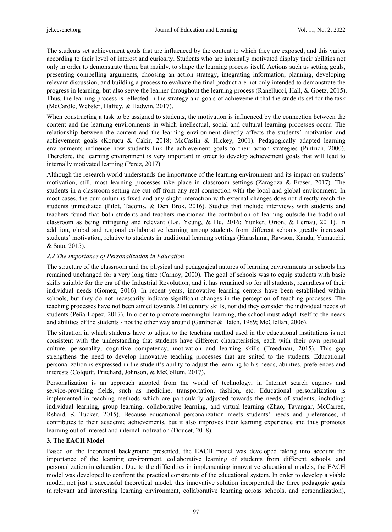The students set achievement goals that are influenced by the content to which they are exposed, and this varies according to their level of interest and curiosity. Students who are internally motivated display their abilities not only in order to demonstrate them, but mainly, to shape the learning process itself. Actions such as setting goals, presenting compelling arguments, choosing an action strategy, integrating information, planning, developing relevant discussion, and building a process to evaluate the final product are not only intended to demonstrate the progress in learning, but also serve the learner throughout the learning process (Ranellucci, Hall, & Goetz, 2015). Thus, the learning process is reflected in the strategy and goals of achievement that the students set for the task (McCardle, Webster, Haffey, & Hadwin, 2017).

When constructing a task to be assigned to students, the motivation is influenced by the connection between the content and the learning environments in which intellectual, social and cultural learning processes occur. The relationship between the content and the learning environment directly affects the students' motivation and achievement goals (Korucu & Cakir, 2018; McCaslin & Hickey, 2001). Pedagogically adapted learning environments influence how students link the achievement goals to their action strategies (Pintrich, 2000). Therefore, the learning environment is very important in order to develop achievement goals that will lead to internally motivated learning (Perez, 2017).

Although the research world understands the importance of the learning environment and its impact on students' motivation, still, most learning processes take place in classroom settings (Zaragoza & Fraser, 2017). The students in a classroom setting are cut off from any real connection with the local and global environment. In most cases, the curriculum is fixed and any slight interaction with external changes does not directly reach the students unmediated (Pilot, Taconis, & Den Brok, 2016). Studies that include interviews with students and teachers found that both students and teachers mentioned the contribution of learning outside the traditional classroom as being intriguing and relevant (Lai, Yeung, & Hu, 2016; Yunker, Orion, & Lernau, 2011). In addition, global and regional collaborative learning among students from different schools greatly increased students' motivation, relative to students in traditional learning settings (Harashima, Rawson, Kanda, Yamauchi, & Sato, 2015).

## *2.2 The Importance of Personalization in Education*

The structure of the classroom and the physical and pedagogical natures of learning environments in schools has remained unchanged for a very long time (Carnoy, 2000). The goal of schools was to equip students with basic skills suitable for the era of the Industrial Revolution, and it has remained so for all students, regardless of their individual needs (Gomez, 2016). In recent years, innovative learning centers have been established within schools, but they do not necessarily indicate significant changes in the perception of teaching processes. The teaching processes have not been aimed towards 21st century skills, nor did they consider the individual needs of students (Peña-López, 2017). In order to promote meaningful learning, the school must adapt itself to the needs and abilities of the students - not the other way around (Gardner & Hatch, 1989; McClellan, 2006).

The situation in which students have to adjust to the teaching method used in the educational institutions is not consistent with the understanding that students have different characteristics, each with their own personal culture, personality, cognitive competency, motivation and learning skills (Freedman, 2015). This gap strengthens the need to develop innovative teaching processes that are suited to the students. Educational personalization is expressed in the student's ability to adjust the learning to his needs, abilities, preferences and interests (Colquitt, Pritchard, Johnson, & McCollum, 2017).

Personalization is an approach adopted from the world of technology, in Internet search engines and service-providing fields, such as medicine, transportation, fashion, etc. Educational personalization is implemented in teaching methods which are particularly adjusted towards the needs of students, including: individual learning, group learning, collaborative learning, and virtual learning (Zhao, Tavangar, McCarren, Rshaid, & Tucker, 2015). Because educational personalization meets students' needs and preferences, it contributes to their academic achievements, but it also improves their learning experience and thus promotes learning out of interest and internal motivation (Doucet, 2018).

## **3. The EACH Model**

Based on the theoretical background presented, the EACH model was developed taking into account the importance of the learning environment, collaborative learning of students from different schools, and personalization in education. Due to the difficulties in implementing innovative educational models, the EACH model was developed to confront the practical constraints of the educational system. In order to develop a viable model, not just a successful theoretical model, this innovative solution incorporated the three pedagogic goals (a relevant and interesting learning environment, collaborative learning across schools, and personalization),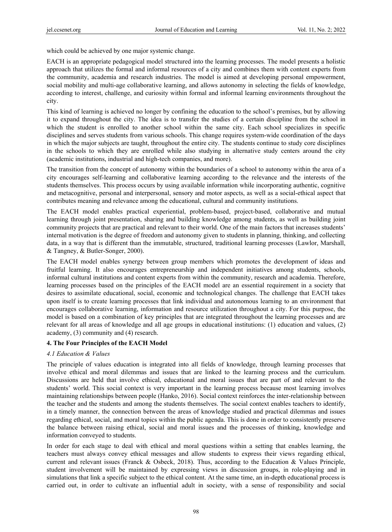which could be achieved by one major systemic change.

EACH is an appropriate pedagogical model structured into the learning processes. The model presents a holistic approach that utilizes the formal and informal resources of a city and combines them with content experts from the community, academia and research industries. The model is aimed at developing personal empowerment, social mobility and multi-age collaborative learning, and allows autonomy in selecting the fields of knowledge, according to interest, challenge, and curiosity within formal and informal learning environments throughout the city.

This kind of learning is achieved no longer by confining the education to the school's premises, but by allowing it to expand throughout the city. The idea is to transfer the studies of a certain discipline from the school in which the student is enrolled to another school within the same city. Each school specializes in specific disciplines and serves students from various schools. This change requires system-wide coordination of the days in which the major subjects are taught, throughout the entire city. The students continue to study core disciplines in the schools to which they are enrolled while also studying in alternative study centers around the city (academic institutions, industrial and high-tech companies, and more).

The transition from the concept of autonomy within the boundaries of a school to autonomy within the area of a city encourages self-learning and collaborative learning according to the relevance and the interests of the students themselves. This process occurs by using available information while incorporating authentic, cognitive and metacognitive, personal and interpersonal, sensory and motor aspects, as well as a social-ethical aspect that contributes meaning and relevance among the educational, cultural and community institutions.

The EACH model enables practical experiential, problem-based, project-based, collaborative and mutual learning through joint presentation, sharing and building knowledge among students, as well as building joint community projects that are practical and relevant to their world. One of the main factors that increases students' internal motivation is the degree of freedom and autonomy given to students in planning, thinking, and collecting data, in a way that is different than the immutable, structured, traditional learning processes (Lawlor, Marshall, & Tangney, & Butler-Songer, 2000).

The EACH model enables synergy between group members which promotes the development of ideas and fruitful learning. It also encourages entrepreneurship and independent initiatives among students, schools, informal cultural institutions and content experts from within the community, research and academia. Therefore, learning processes based on the principles of the EACH model are an essential requirement in a society that desires to assimilate educational, social, economic and technological changes. The challenge that EACH takes upon itself is to create learning processes that link individual and autonomous learning to an environment that encourages collaborative learning, information and resource utilization throughout a city. For this purpose, the model is based on a combination of key principles that are integrated throughout the learning processes and are relevant for all areas of knowledge and all age groups in educational institutions: (1) education and values, (2) academy, (3) community and (4) research.

## **4. The Four Principles of the EACH Model**

#### *4.1 Education & Values*

The principle of values education is integrated into all fields of knowledge, through learning processes that involve ethical and moral dilemmas and issues that are linked to the learning process and the curriculum. Discussions are held that involve ethical, educational and moral issues that are part of and relevant to the students' world. This social context is very important in the learning process because most learning involves maintaining relationships between people (Hanko, 2016). Social context reinforces the inter-relationship between the teacher and the students and among the students themselves. The social context enables teachers to identify, in a timely manner, the connection between the areas of knowledge studied and practical dilemmas and issues regarding ethical, social, and moral topics within the public agenda. This is done in order to consistently preserve the balance between raising ethical, social and moral issues and the processes of thinking, knowledge and information conveyed to students.

In order for each stage to deal with ethical and moral questions within a setting that enables learning, the teachers must always convey ethical messages and allow students to express their views regarding ethical, current and relevant issues (Franck & Osbeck, 2018). Thus, according to the Education & Values Principle, student involvement will be maintained by expressing views in discussion groups, in role-playing and in simulations that link a specific subject to the ethical content. At the same time, an in-depth educational process is carried out, in order to cultivate an influential adult in society, with a sense of responsibility and social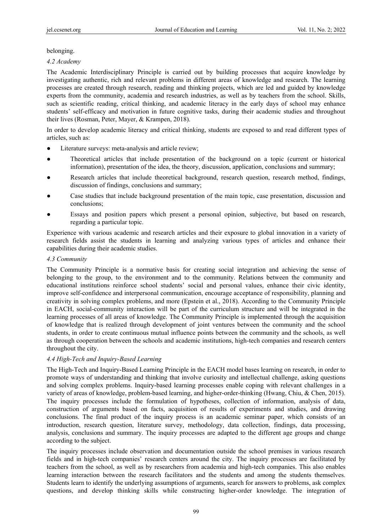belonging.

### *4.2 Academy*

The Academic Interdisciplinary Principle is carried out by building processes that acquire knowledge by investigating authentic, rich and relevant problems in different areas of knowledge and research. The learning processes are created through research, reading and thinking projects, which are led and guided by knowledge experts from the community, academia and research industries, as well as by teachers from the school. Skills, such as scientific reading, critical thinking, and academic literacy in the early days of school may enhance students' self-efficacy and motivation in future cognitive tasks, during their academic studies and throughout their lives (Rosman, Peter, Mayer, & Krampen, 2018).

In order to develop academic literacy and critical thinking, students are exposed to and read different types of articles, such as:

- Literature surveys: meta-analysis and article review;
- Theoretical articles that include presentation of the background on a topic (current or historical information), presentation of the idea, the theory, discussion, application, conclusions and summary;
- Research articles that include theoretical background, research question, research method, findings, discussion of findings, conclusions and summary;
- Case studies that include background presentation of the main topic, case presentation, discussion and conclusions;
- Essays and position papers which present a personal opinion, subjective, but based on research, regarding a particular topic.

Experience with various academic and research articles and their exposure to global innovation in a variety of research fields assist the students in learning and analyzing various types of articles and enhance their capabilities during their academic studies.

#### *4.3 Community*

The Community Principle is a normative basis for creating social integration and achieving the sense of belonging to the group, to the environment and to the community. Relations between the community and educational institutions reinforce school students' social and personal values, enhance their civic identity, improve self-confidence and interpersonal communication, encourage acceptance of responsibility, planning and creativity in solving complex problems, and more (Epstein et al., 2018). According to the Community Principle in EACH, social-community interaction will be part of the curriculum structure and will be integrated in the learning processes of all areas of knowledge. The Community Principle is implemented through the acquisition of knowledge that is realized through development of joint ventures between the community and the school students, in order to create continuous mutual influence points between the community and the schools, as well as through cooperation between the schools and academic institutions, high-tech companies and research centers throughout the city.

## *4.4 High-Tech and Inquiry-Based Learning*

The High-Tech and Inquiry-Based Learning Principle in the EACH model bases learning on research, in order to promote ways of understanding and thinking that involve curiosity and intellectual challenge, asking questions and solving complex problems. Inquiry-based learning processes enable coping with relevant challenges in a variety of areas of knowledge, problem-based learning, and higher-order-thinking (Hwang, Chiu, & Chen, 2015). The inquiry processes include the formulation of hypotheses, collection of information, analysis of data, construction of arguments based on facts, acquisition of results of experiments and studies, and drawing conclusions. The final product of the inquiry process is an academic seminar paper, which consists of an introduction, research question, literature survey, methodology, data collection, findings, data processing, analysis, conclusions and summary. The inquiry processes are adapted to the different age groups and change according to the subject.

The inquiry processes include observation and documentation outside the school premises in various research fields and in high-tech companies' research centers around the city. The inquiry processes are facilitated by teachers from the school, as well as by researchers from academia and high-tech companies. This also enables learning interaction between the research facilitators and the students and among the students themselves. Students learn to identify the underlying assumptions of arguments, search for answers to problems, ask complex questions, and develop thinking skills while constructing higher-order knowledge. The integration of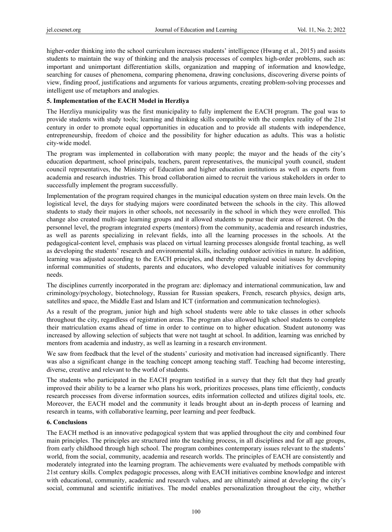higher-order thinking into the school curriculum increases students' intelligence (Hwang et al., 2015) and assists students to maintain the way of thinking and the analysis processes of complex high-order problems, such as: important and unimportant differentiation skills, organization and mapping of information and knowledge, searching for causes of phenomena, comparing phenomena, drawing conclusions, discovering diverse points of view, finding proof, justifications and arguments for various arguments, creating problem-solving processes and intelligent use of metaphors and analogies.

## **5. Implementation of the EACH Model in Herzliya**

The Herzliya municipality was the first municipality to fully implement the EACH program. The goal was to provide students with study tools; learning and thinking skills compatible with the complex reality of the 21st century in order to promote equal opportunities in education and to provide all students with independence, entrepreneurship, freedom of choice and the possibility for higher education as adults. This was a holistic city-wide model.

The program was implemented in collaboration with many people; the mayor and the heads of the city's education department, school principals, teachers, parent representatives, the municipal youth council, student council representatives, the Ministry of Education and higher education institutions as well as experts from academia and research industries. This broad collaboration aimed to recruit the various stakeholders in order to successfully implement the program successfully.

Implementation of the program required changes in the municipal education system on three main levels. On the logistical level, the days for studying majors were coordinated between the schools in the city. This allowed students to study their majors in other schools, not necessarily in the school in which they were enrolled. This change also created multi-age learning groups and it allowed students to pursue their areas of interest. On the personnel level, the program integrated experts (mentors) from the community, academia and research industries, as well as parents specializing in relevant fields, into all the learning processes in the schools. At the pedagogical-content level, emphasis was placed on virtual learning processes alongside frontal teaching, as well as developing the students' research and environmental skills, including outdoor activities in nature. In addition, learning was adjusted according to the EACH principles, and thereby emphasized social issues by developing informal communities of students, parents and educators, who developed valuable initiatives for community needs.

The disciplines currently incorporated in the program are: diplomacy and international communication, law and criminology/psychology, biotechnology, Russian for Russian speakers, French, research physics, design arts, satellites and space, the Middle East and Islam and ICT (information and communication technologies).

As a result of the program, junior high and high school students were able to take classes in other schools throughout the city, regardless of registration areas. The program also allowed high school students to complete their matriculation exams ahead of time in order to continue on to higher education. Student autonomy was increased by allowing selection of subjects that were not taught at school. In addition, learning was enriched by mentors from academia and industry, as well as learning in a research environment.

We saw from feedback that the level of the students' curiosity and motivation had increased significantly. There was also a significant change in the teaching concept among teaching staff. Teaching had become interesting, diverse, creative and relevant to the world of students.

The students who participated in the EACH program testified in a survey that they felt that they had greatly improved their ability to be a learner who plans his work, prioritizes processes, plans time efficiently, conducts research processes from diverse information sources, edits information collected and utilizes digital tools, etc. Moreover, the EACH model and the community it leads brought about an in-depth process of learning and research in teams, with collaborative learning, peer learning and peer feedback.

#### **6. Conclusions**

The EACH method is an innovative pedagogical system that was applied throughout the city and combined four main principles. The principles are structured into the teaching process, in all disciplines and for all age groups, from early childhood through high school. The program combines contemporary issues relevant to the students' world, from the social, community, academia and research worlds. The principles of EACH are consistently and moderately integrated into the learning program. The achievements were evaluated by methods compatible with 21st century skills. Complex pedagogic processes, along with EACH initiatives combine knowledge and interest with educational, community, academic and research values, and are ultimately aimed at developing the city's social, communal and scientific initiatives. The model enables personalization throughout the city, whether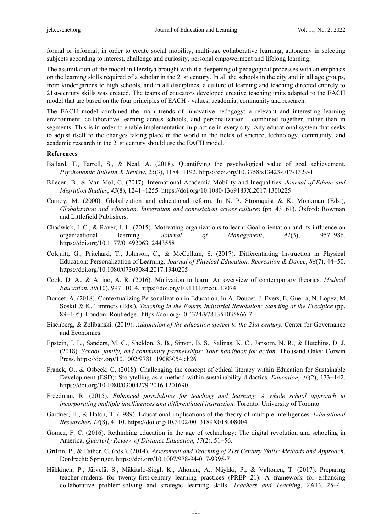formal or informal, in order to create social mobility, multi-age collaborative learning, autonomy in selecting subjects according to interest, challenge and curiosity, personal empowerment and lifelong learning.

The assimilation of the model in Herzliya brought with it a deepening of pedagogical processes with an emphasis on the learning skills required of a scholar in the 21st century. In all the schools in the city and in all age groups, from kindergartens to high schools, and in all disciplines, a culture of learning and teaching directed entirely to 21st-century skills was created. The teams of educators developed creative teaching units adapted to the EACH model that are based on the four principles of EACH - values, academia, community and research.

The EACH model combined the main trends of innovative pedagogy: a relevant and interesting learning environment, collaborative learning across schools, and personalization - combined together, rather than in segments. This is in order to enable implementation in practice in every city. Any educational system that seeks to adjust itself to the changes taking place in the world in the fields of science, technology, community, and academic research in the 21st century should use the EACH model.

#### **References**

- Ballard, T., Farrell, S., & Neal, A. (2018). Quantifying the psychological value of goal achievement. *Psychonomic Bulletin & Review*, *25*(3), 1184−1192. https://doi.org/10.3758/s13423-017-1329-1
- Bilecen, B., & Van Mol, C. (2017). International Academic Mobility and Inequalities. *Journal of Ethnic and Migration Studies*, *43*(8), 1241−1255. https://doi.org/10.1080/1369183X.2017.1300225
- Carnoy, M. (2000). Globalization and educational reform. In N. P. Stromquist & K. Monkman (Eds.), *Globalization and education: Integration and contestation across cultures* (pp. 43−61). Oxford: Rowman and Littlefield Publishers.
- Chadwick, I. C., & Raver, J. L. (2015). Motivating organizations to learn: Goal orientation and its influence on organizational learning. *Journal of Management*, *41*(3), 957−986. https://doi.org/10.1177/0149206312443558
- Colquitt, G., Pritchard, T., Johnson, C., & McCollum, S. (2017). Differentiating Instruction in Physical Education: Personalization of Learning. *Journal of Physical Education, Recreation & Dance*, *88*(7), 44−50. https://doi.org/10.1080/07303084.2017.1340205
- Cook, D. A., & Artino, A. R. (2016). Motivation to learn: An overview of contemporary theories. *Medical Education*, *50*(10), 997−1014. https://doi.org/10.1111/medu.13074
- Doucet, A. (2018). Contextualizing Personalization in Education. In A. Doucet, J. Evers, E. Guerra, N. Lopez, M. Soskil & K. Timmers (Eds.), *Teaching in the Fourth Industrial Revolution: Standing at the Precipice* (pp. 89−105). London: Routledge. https://doi.org/10.4324/9781351035866-7
- Eisenberg, & Zelibanski. (2019). *Adaptation of the education system to the 21st century*. Center for Governance and Economics.
- Epstein, J. L., Sanders, M. G., Sheldon, S. B., Simon, B. S., Salinas, K. C., Jansorn, N. R., & Hutchins, D. J. (2018). *School, family, and community partnerships: Your handbook for action*. Thousand Oaks: Corwin Press. https://doi.org/10.1002/9781119083054.ch26
- Franck, O., & Osbeck, C. (2018). Challenging the concept of ethical literacy within Education for Sustainable Development (ESD): Storytelling as a method within sustainability didactics. *Education*, *46*(2), 133−142. https://doi.org/10.1080/03004279.2016.1201690
- Freedman, R. (2015). *Enhanced possibilities for teaching and learning: A whole school approach to incorporating multiple intelligences and differentiated instruction*. Toronto: University of Toronto.
- Gardner, H., & Hatch, T. (1989). Educational implications of the theory of multiple intelligences. *Educational Researcher*, *18*(8), 4−10. https://doi.org/10.3102/0013189X018008004
- Gomez, F. C. (2016). Rethinking education in the age of technology: The digital revolution and schooling in America. *Quarterly Review of Distance Education*, *17*(2), 51−56.
- Griffin, P., & Esther, C. (eds.). (2014). *Assessment and Teaching of 21st Century Skills: Methods and Approach*. Dordrecht: Springer. https://doi.org/10.1007/978-94-017-9395-7
- Häkkinen, P., Järvelä, S., Mäkitalo-Siegl, K., Ahonen, A., Näykki, P., & Valtonen, T. (2017). Preparing teacher-students for twenty-first-century learning practices (PREP 21): A framework for enhancing collaborative problem-solving and strategic learning skills. *Teachers and Teaching*, *23*(1), 25−41.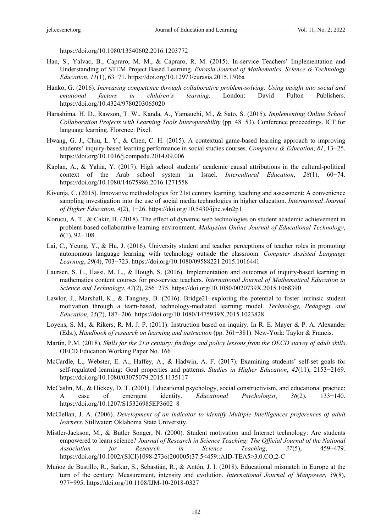https://doi.org/10.1080/13540602.2016.1203772

- Han, S., Yalvac, B., Capraro, M. M., & Capraro, R. M. (2015). In-service Teachers' Implementation and Understanding of STEM Project Based Learning. *Eurasia Journal of Mathematics, Science & Technology Education*, *11*(1), 63−71. https://doi.org/10.12973/eurasia.2015.1306a
- Hanko, G. (2016). *Increasing competence through collaborative problem-solving: Using insight into social and emotional factors in children's learning*. London: David Fulton Publishers. https://doi.org/10.4324/9780203065020
- Harashima, H. D., Rawson, T. W., Kanda, A., Yamauchi, M., & Sato, S. (2015). *Implementing Online School Collaboration Projects with Learning Tools Interoperability* (pp. 48−53). Conference proceedings. ICT for language learning. Florence: Pixel.
- Hwang, G. J., Chiu, L. Y., & Chen, C. H. (2015). A contextual game-based learning approach to improving students' inquiry-based learning performance in social studies courses. *Computers & Education*, *81*, 13−25. https://doi.org/10.1016/j.compedu.2014.09.006
- Kaplan, A., & Yahia, Y. (2017). High school students' academic causal attributions in the cultural-political context of the Arab school system in Israel. *Intercultural Education*, *28*(1), 60−74. https://doi.org/10.1080/14675986.2016.1271558
- Kivunja, C. (2015). Innovative methodologies for 21st century learning, teaching and assessment: A convenience sampling investigation into the use of social media technologies in higher education. *International Journal of Higher Education*, *4*(2), 1−26. https://doi.org/10.5430/ijhe.v4n2p1
- Korucu, A. T., & Cakir, H. (2018). The effect of dynamic web technologies on student academic achievement in problem-based collaborative learning environment. *Malaysian Online Journal of Educational Technology*, *6*(1), 92−108.
- Lai, C., Yeung, Y., & Hu, J. (2016). University student and teacher perceptions of teacher roles in promoting autonomous language learning with technology outside the classroom. *Computer Assisted Language Learning*, *29*(4), 703−723. https://doi.org/10.1080/09588221.2015.1016441
- Laursen, S. L., Hassi, M. L., & Hough, S. (2016). Implementation and outcomes of inquiry-based learning in mathematics content courses for pre-service teachers. *International Journal of Mathematical Education in Science and Technology*, *47*(2), 256−275. https://doi.org/10.1080/0020739X.2015.1068390
- Lawlor, J., Marshall, K., & Tangney, B. (2016). Bridge21–exploring the potential to foster intrinsic student motivation through a team-based, technology-mediated learning model. *Technology, Pedagogy and Education*, *25*(2), 187−206. https://doi.org/10.1080/1475939X.2015.1023828
- Loyens, S. M., & Rikers, R. M. J. P. (2011). Instruction based on inquiry. In R. E. Mayer & P. A. Alexander (Eds.), *Handbook of research on learning and instruction* (pp. 361−381). New-York: Taylor & Francis.
- Martin, P.M. (2018). *Skills for the 21st century: findings and policy lessons from the OECD survey of adult skills*. OECD Education Working Paper No. 166
- McCardle, L., Webster, E. A., Haffey, A., & Hadwin, A. F. (2017). Examining students' self-set goals for self-regulated learning: Goal properties and patterns. *Studies in Higher Education*, *42*(11), 2153−2169. https://doi.org/10.1080/03075079.2015.1135117
- McCaslin, M., & Hickey, D. T. (2001). Educational psychology, social constructivism, and educational practice: A case of emergent identity. *Educational Psychologist*, *36*(2), 133−140. https://doi.org/10.1207/S15326985EP3602\_8
- McClellan, J. A. (2006). *Development of an indicator to identify Multiple Intelligences preferences of adult learners*. Stillwater: Oklahoma State University.
- Mistler-Jackson, M., & Butler Songer, N. (2000). Student motivation and Internet technology: Are students empowered to learn science? *Journal of Research in Science Teaching: The Official Journal of the National Association for Research in Science Teaching*, *37*(5), 459−479. https://doi.org/10.1002/(SICI)1098-2736(200005)37:5<459::AID-TEA5>3.0.CO;2-C
- Muñoz de Bustillo, R., Sarkar, S., Sebastián, R., & Antón, J. I. (2018). Educational mismatch in Europe at the turn of the century: Measurement, intensity and evolution. *International Journal of Manpower*, *39*(8), 977−995. https://doi.org/10.1108/IJM-10-2018-0327